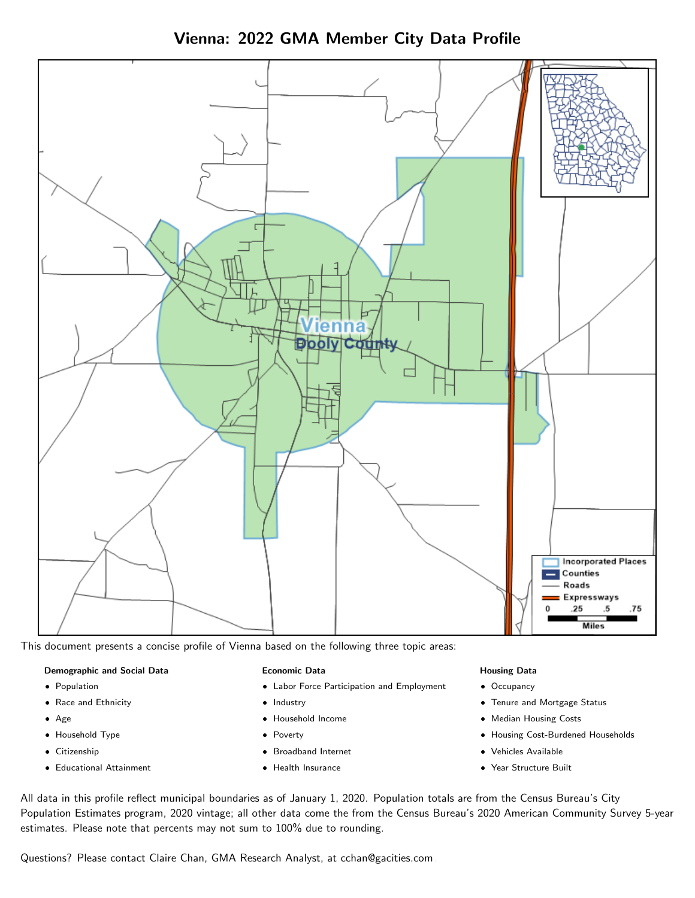Vienna: 2022 GMA Member City Data Profile



This document presents a concise profile of Vienna based on the following three topic areas:

#### Demographic and Social Data

- **•** Population
- Race and Ethnicity
- Age
- Household Type
- **Citizenship**
- Educational Attainment

#### Economic Data

- Labor Force Participation and Employment
- Industry
- Household Income
- Poverty
- Broadband Internet
- Health Insurance

### Housing Data

- Occupancy
- Tenure and Mortgage Status
- Median Housing Costs
- Housing Cost-Burdened Households
- Vehicles Available
- Year Structure Built

All data in this profile reflect municipal boundaries as of January 1, 2020. Population totals are from the Census Bureau's City Population Estimates program, 2020 vintage; all other data come the from the Census Bureau's 2020 American Community Survey 5-year estimates. Please note that percents may not sum to 100% due to rounding.

Questions? Please contact Claire Chan, GMA Research Analyst, at [cchan@gacities.com.](mailto:cchan@gacities.com)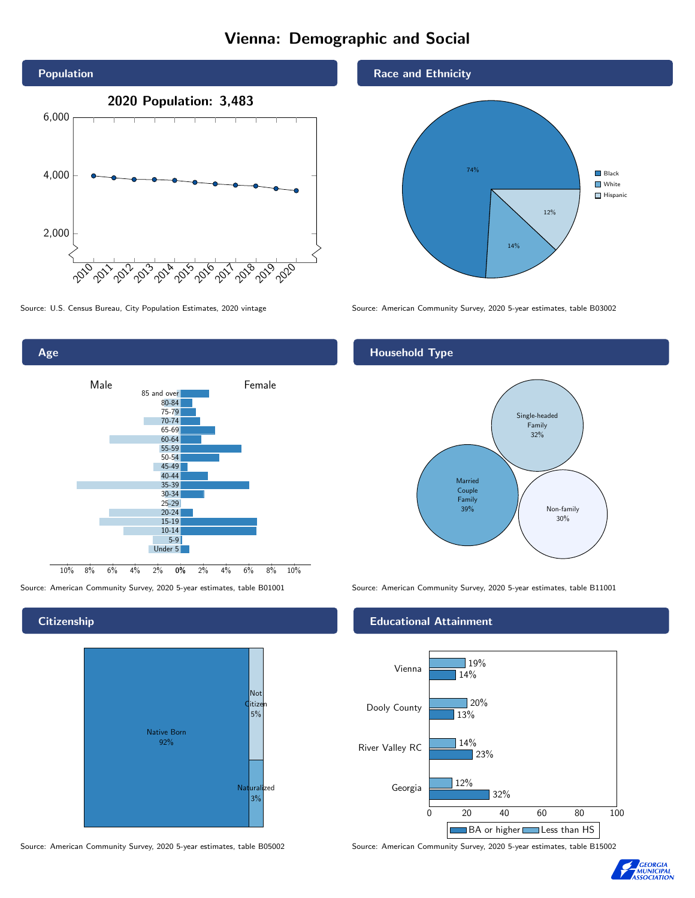# Vienna: Demographic and Social



 $\overline{2\%}$  4% 6% 8% 10% Male **Female** 10% 8% 6% 4% 2% 85 and over 80-84 75-79 70-74 65-69 60-64 55-59 50-54 45-49 40-44 35-39 30-34 25-29 20-24 15-19  $10-14$ 5-9 Under 5

### **Citizenship**

Age



Source: American Community Survey, 2020 5-year estimates, table B05002 Source: American Community Survey, 2020 5-year estimates, table B15002



Source: U.S. Census Bureau, City Population Estimates, 2020 vintage Source: American Community Survey, 2020 5-year estimates, table B03002

14%

## Household Type



Source: American Community Survey, 2020 5-year estimates, table B01001 Source: American Community Survey, 2020 5-year estimates, table B11001

#### Educational Attainment



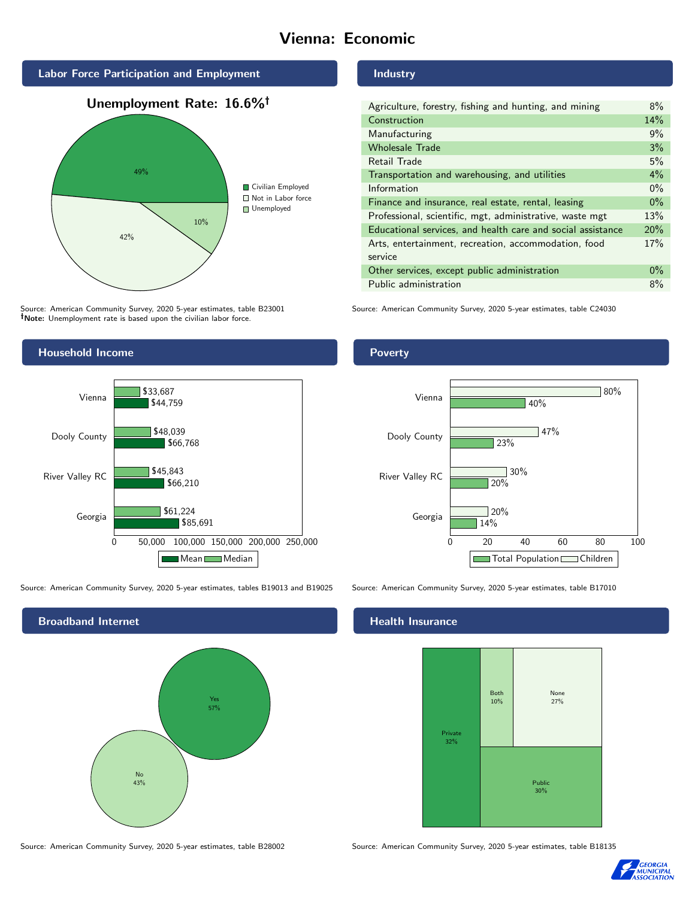# Vienna: Economic



Source: American Community Survey, 2020 5-year estimates, table B23001 Note: Unemployment rate is based upon the civilian labor force.

# Industry

| Agriculture, forestry, fishing and hunting, and mining      | 8%    |
|-------------------------------------------------------------|-------|
| Construction                                                | 14%   |
| Manufacturing                                               | 9%    |
| <b>Wholesale Trade</b>                                      | 3%    |
| Retail Trade                                                | 5%    |
| Transportation and warehousing, and utilities               | $4\%$ |
| Information                                                 | $0\%$ |
| Finance and insurance, real estate, rental, leasing         | $0\%$ |
| Professional, scientific, mgt, administrative, waste mgt    | 13%   |
| Educational services, and health care and social assistance | 20%   |
| Arts, entertainment, recreation, accommodation, food        | 17%   |
| service                                                     |       |
| Other services, except public administration                | $0\%$ |
| Public administration                                       | 8%    |

Source: American Community Survey, 2020 5-year estimates, table C24030



Source: American Community Survey, 2020 5-year estimates, tables B19013 and B19025 Source: American Community Survey, 2020 5-year estimates, table B17010



# **Health Insurance**



Source: American Community Survey, 2020 5-year estimates, table B28002 Source: American Community Survey, 2020 5-year estimates, table B18135



Poverty